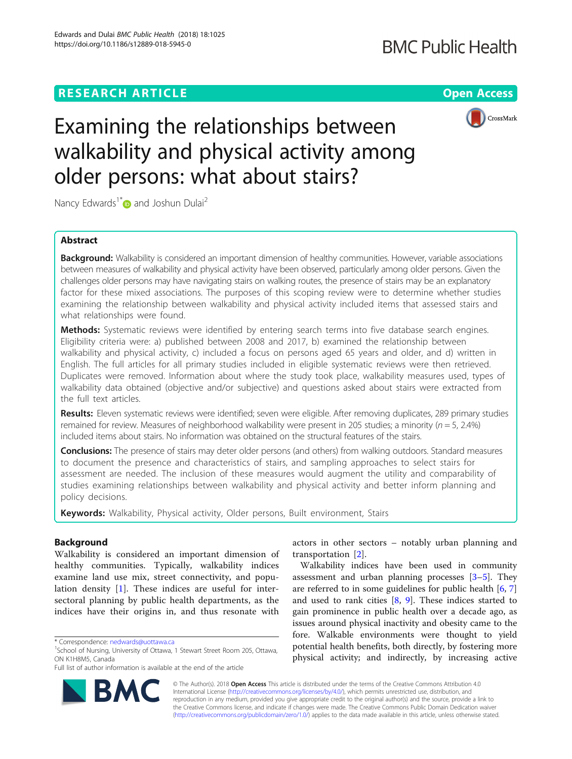# **RESEARCH ARTICLE Example 2018 12:30 THE Open Access**



# Examining the relationships between walkability and physical activity among older persons: what about stairs?

Nancy Edwards<sup>1\*</sup> and Joshun Dulai<sup>2</sup>

# Abstract

**Background:** Walkability is considered an important dimension of healthy communities. However, variable associations between measures of walkability and physical activity have been observed, particularly among older persons. Given the challenges older persons may have navigating stairs on walking routes, the presence of stairs may be an explanatory factor for these mixed associations. The purposes of this scoping review were to determine whether studies examining the relationship between walkability and physical activity included items that assessed stairs and what relationships were found.

Methods: Systematic reviews were identified by entering search terms into five database search engines. Eligibility criteria were: a) published between 2008 and 2017, b) examined the relationship between walkability and physical activity, c) included a focus on persons aged 65 years and older, and d) written in English. The full articles for all primary studies included in eligible systematic reviews were then retrieved. Duplicates were removed. Information about where the study took place, walkability measures used, types of walkability data obtained (objective and/or subjective) and questions asked about stairs were extracted from the full text articles.

Results: Eleven systematic reviews were identified; seven were eligible. After removing duplicates, 289 primary studies remained for review. Measures of neighborhood walkability were present in 205 studies; a minority ( $n = 5$ , 2.4%) included items about stairs. No information was obtained on the structural features of the stairs.

Conclusions: The presence of stairs may deter older persons (and others) from walking outdoors. Standard measures to document the presence and characteristics of stairs, and sampling approaches to select stairs for assessment are needed. The inclusion of these measures would augment the utility and comparability of studies examining relationships between walkability and physical activity and better inform planning and policy decisions.

Keywords: Walkability, Physical activity, Older persons, Built environment, Stairs

# Background

Walkability is considered an important dimension of healthy communities. Typically, walkability indices examine land use mix, street connectivity, and population density [\[1](#page-8-0)]. These indices are useful for intersectoral planning by public health departments, as the indices have their origins in, and thus resonate with



Walkability indices have been used in community assessment and urban planning processes  $[3-5]$  $[3-5]$  $[3-5]$  $[3-5]$ . They are referred to in some guidelines for public health [\[6](#page-8-0), [7](#page-8-0)] and used to rank cities  $[8, 9]$  $[8, 9]$  $[8, 9]$  $[8, 9]$  $[8, 9]$ . These indices started to gain prominence in public health over a decade ago, as issues around physical inactivity and obesity came to the fore. Walkable environments were thought to yield potential health benefits, both directly, by fostering more physical activity; and indirectly, by increasing active

© The Author(s). 2018 Open Access This article is distributed under the terms of the Creative Commons Attribution 4.0 International License [\(http://creativecommons.org/licenses/by/4.0/](http://creativecommons.org/licenses/by/4.0/)), which permits unrestricted use, distribution, and reproduction in any medium, provided you give appropriate credit to the original author(s) and the source, provide a link to the Creative Commons license, and indicate if changes were made. The Creative Commons Public Domain Dedication waiver [\(http://creativecommons.org/publicdomain/zero/1.0/](http://creativecommons.org/publicdomain/zero/1.0/)) applies to the data made available in this article, unless otherwise stated.



<sup>\*</sup> Correspondence: [nedwards@uottawa.ca](mailto:nedwards@uottawa.ca) <sup>1</sup>

<sup>&</sup>lt;sup>1</sup>School of Nursing, University of Ottawa, 1 Stewart Street Room 205, Ottawa, ON K1H8M5, Canada

Full list of author information is available at the end of the article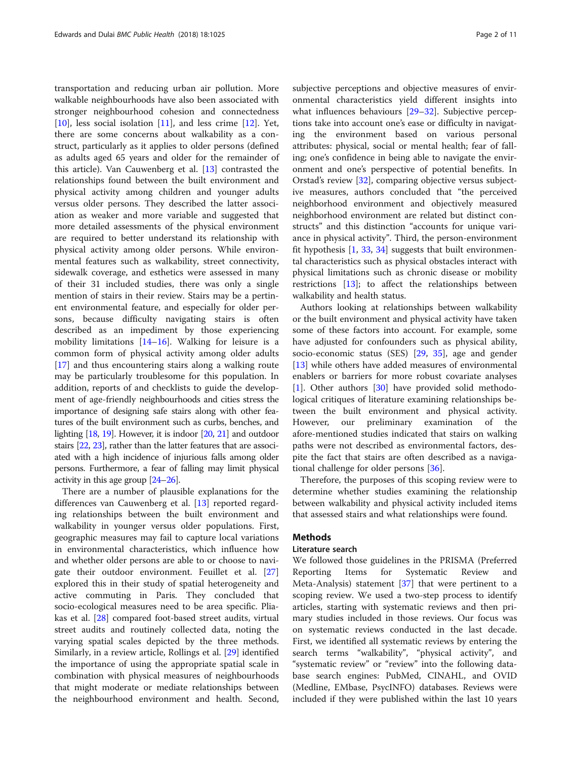transportation and reducing urban air pollution. More walkable neighbourhoods have also been associated with stronger neighbourhood cohesion and connectedness  $[10]$  $[10]$ , less social isolation  $[11]$ , and less crime  $[12]$  $[12]$ . Yet, there are some concerns about walkability as a construct, particularly as it applies to older persons (defined as adults aged 65 years and older for the remainder of this article). Van Cauwenberg et al. [[13](#page-8-0)] contrasted the relationships found between the built environment and physical activity among children and younger adults versus older persons. They described the latter association as weaker and more variable and suggested that more detailed assessments of the physical environment are required to better understand its relationship with physical activity among older persons. While environmental features such as walkability, street connectivity, sidewalk coverage, and esthetics were assessed in many of their 31 included studies, there was only a single mention of stairs in their review. Stairs may be a pertinent environmental feature, and especially for older persons, because difficulty navigating stairs is often described as an impediment by those experiencing mobility limitations [\[14](#page-9-0)–[16\]](#page-9-0). Walking for leisure is a common form of physical activity among older adults [[17\]](#page-9-0) and thus encountering stairs along a walking route may be particularly troublesome for this population. In addition, reports of and checklists to guide the development of age-friendly neighbourhoods and cities stress the importance of designing safe stairs along with other features of the built environment such as curbs, benches, and lighting [\[18](#page-9-0), [19\]](#page-9-0). However, it is indoor [\[20](#page-9-0), [21\]](#page-9-0) and outdoor stairs [[22](#page-9-0), [23](#page-9-0)], rather than the latter features that are associated with a high incidence of injurious falls among older persons. Furthermore, a fear of falling may limit physical activity in this age group [\[24](#page-9-0)–[26\]](#page-9-0).

There are a number of plausible explanations for the differences van Cauwenberg et al. [\[13](#page-8-0)] reported regarding relationships between the built environment and walkability in younger versus older populations. First, geographic measures may fail to capture local variations in environmental characteristics, which influence how and whether older persons are able to or choose to navigate their outdoor environment. Feuillet et al. [[27](#page-9-0)] explored this in their study of spatial heterogeneity and active commuting in Paris. They concluded that socio-ecological measures need to be area specific. Pliakas et al. [[28](#page-9-0)] compared foot-based street audits, virtual street audits and routinely collected data, noting the varying spatial scales depicted by the three methods. Similarly, in a review article, Rollings et al. [\[29](#page-9-0)] identified the importance of using the appropriate spatial scale in combination with physical measures of neighbourhoods that might moderate or mediate relationships between the neighbourhood environment and health. Second, subjective perceptions and objective measures of environmental characteristics yield different insights into what influences behaviours [\[29](#page-9-0)–[32\]](#page-9-0). Subjective perceptions take into account one's ease or difficulty in navigating the environment based on various personal attributes: physical, social or mental health; fear of falling; one's confidence in being able to navigate the environment and one's perspective of potential benefits. In Orstad's review [[32](#page-9-0)], comparing objective versus subjective measures, authors concluded that "the perceived neighborhood environment and objectively measured neighborhood environment are related but distinct constructs" and this distinction "accounts for unique variance in physical activity". Third, the person-environment fit hypothesis [[1,](#page-8-0) [33](#page-9-0), [34](#page-9-0)] suggests that built environmental characteristics such as physical obstacles interact with physical limitations such as chronic disease or mobility restrictions  $[13]$  $[13]$ ; to affect the relationships between walkability and health status.

Authors looking at relationships between walkability or the built environment and physical activity have taken some of these factors into account. For example, some have adjusted for confounders such as physical ability, socio-economic status (SES) [[29,](#page-9-0) [35\]](#page-9-0), age and gender [[13\]](#page-8-0) while others have added measures of environmental enablers or barriers for more robust covariate analyses [[1\]](#page-8-0). Other authors [[30](#page-9-0)] have provided solid methodological critiques of literature examining relationships between the built environment and physical activity. However, our preliminary examination of the afore-mentioned studies indicated that stairs on walking paths were not described as environmental factors, despite the fact that stairs are often described as a navigational challenge for older persons [[36\]](#page-9-0).

Therefore, the purposes of this scoping review were to determine whether studies examining the relationship between walkability and physical activity included items that assessed stairs and what relationships were found.

# Methods

## Literature search

We followed those guidelines in the PRISMA (Preferred Reporting Items for Systematic Review and Meta-Analysis) statement  $[37]$  $[37]$  that were pertinent to a scoping review. We used a two-step process to identify articles, starting with systematic reviews and then primary studies included in those reviews. Our focus was on systematic reviews conducted in the last decade. First, we identified all systematic reviews by entering the search terms "walkability", "physical activity", and "systematic review" or "review" into the following database search engines: PubMed, CINAHL, and OVID (Medline, EMbase, PsycINFO) databases. Reviews were included if they were published within the last 10 years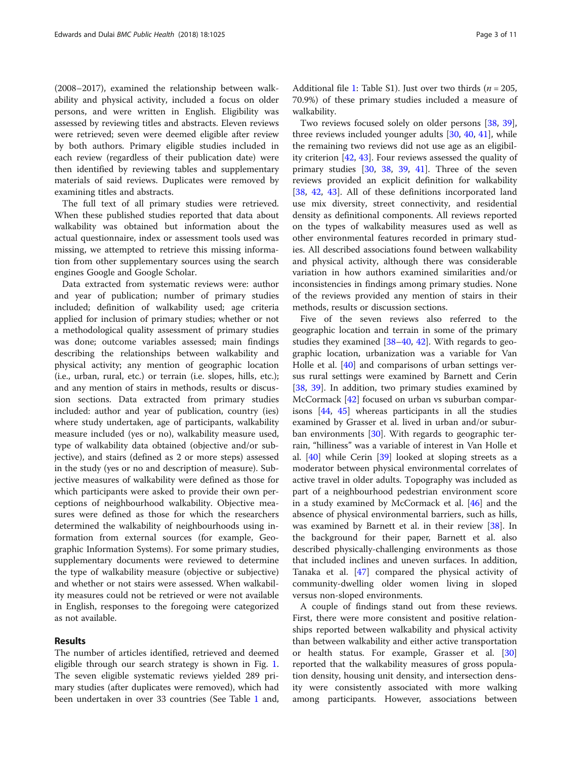(2008–2017), examined the relationship between walkability and physical activity, included a focus on older persons, and were written in English. Eligibility was assessed by reviewing titles and abstracts. Eleven reviews were retrieved; seven were deemed eligible after review by both authors. Primary eligible studies included in each review (regardless of their publication date) were then identified by reviewing tables and supplementary materials of said reviews. Duplicates were removed by examining titles and abstracts.

The full text of all primary studies were retrieved. When these published studies reported that data about walkability was obtained but information about the actual questionnaire, index or assessment tools used was missing, we attempted to retrieve this missing information from other supplementary sources using the search engines Google and Google Scholar.

Data extracted from systematic reviews were: author and year of publication; number of primary studies included; definition of walkability used; age criteria applied for inclusion of primary studies; whether or not a methodological quality assessment of primary studies was done; outcome variables assessed; main findings describing the relationships between walkability and physical activity; any mention of geographic location (i.e., urban, rural, etc.) or terrain (i.e. slopes, hills, etc.); and any mention of stairs in methods, results or discussion sections. Data extracted from primary studies included: author and year of publication, country (ies) where study undertaken, age of participants, walkability measure included (yes or no), walkability measure used, type of walkability data obtained (objective and/or subjective), and stairs (defined as 2 or more steps) assessed in the study (yes or no and description of measure). Subjective measures of walkability were defined as those for which participants were asked to provide their own perceptions of neighbourhood walkability. Objective measures were defined as those for which the researchers determined the walkability of neighbourhoods using information from external sources (for example, Geographic Information Systems). For some primary studies, supplementary documents were reviewed to determine the type of walkability measure (objective or subjective) and whether or not stairs were assessed. When walkability measures could not be retrieved or were not available in English, responses to the foregoing were categorized as not available.

# Results

The number of articles identified, retrieved and deemed eligible through our search strategy is shown in Fig. [1](#page-3-0). The seven eligible systematic reviews yielded 289 primary studies (after duplicates were removed), which had been undertaken in over 33 countries (See Table [1](#page-4-0) and,

Additional file [1](#page-8-0): Table S1). Just over two thirds ( $n = 205$ , 70.9%) of these primary studies included a measure of walkability.

Two reviews focused solely on older persons [[38,](#page-9-0) [39](#page-9-0)], three reviews included younger adults [\[30,](#page-9-0) [40](#page-9-0), [41](#page-9-0)], while the remaining two reviews did not use age as an eligibility criterion [[42,](#page-9-0) [43\]](#page-9-0). Four reviews assessed the quality of primary studies [[30,](#page-9-0) [38](#page-9-0), [39,](#page-9-0) [41\]](#page-9-0). Three of the seven reviews provided an explicit definition for walkability [[38,](#page-9-0) [42](#page-9-0), [43](#page-9-0)]. All of these definitions incorporated land use mix diversity, street connectivity, and residential density as definitional components. All reviews reported on the types of walkability measures used as well as other environmental features recorded in primary studies. All described associations found between walkability and physical activity, although there was considerable variation in how authors examined similarities and/or inconsistencies in findings among primary studies. None of the reviews provided any mention of stairs in their methods, results or discussion sections.

Five of the seven reviews also referred to the geographic location and terrain in some of the primary studies they examined [[38](#page-9-0)–[40](#page-9-0), [42](#page-9-0)]. With regards to geographic location, urbanization was a variable for Van Holle et al. [[40\]](#page-9-0) and comparisons of urban settings versus rural settings were examined by Barnett and Cerin [[38,](#page-9-0) [39](#page-9-0)]. In addition, two primary studies examined by McCormack [[42](#page-9-0)] focused on urban vs suburban comparisons [\[44](#page-9-0), [45\]](#page-9-0) whereas participants in all the studies examined by Grasser et al. lived in urban and/or suburban environments [\[30](#page-9-0)]. With regards to geographic terrain, "hilliness" was a variable of interest in Van Holle et al. [\[40](#page-9-0)] while Cerin [\[39](#page-9-0)] looked at sloping streets as a moderator between physical environmental correlates of active travel in older adults. Topography was included as part of a neighbourhood pedestrian environment score in a study examined by McCormack et al. [[46\]](#page-9-0) and the absence of physical environmental barriers, such as hills, was examined by Barnett et al. in their review [[38](#page-9-0)]. In the background for their paper, Barnett et al. also described physically-challenging environments as those that included inclines and uneven surfaces. In addition, Tanaka et al. [[47\]](#page-9-0) compared the physical activity of community-dwelling older women living in sloped versus non-sloped environments.

A couple of findings stand out from these reviews. First, there were more consistent and positive relationships reported between walkability and physical activity than between walkability and either active transportation or health status. For example, Grasser et al. [[30](#page-9-0)] reported that the walkability measures of gross population density, housing unit density, and intersection density were consistently associated with more walking among participants. However, associations between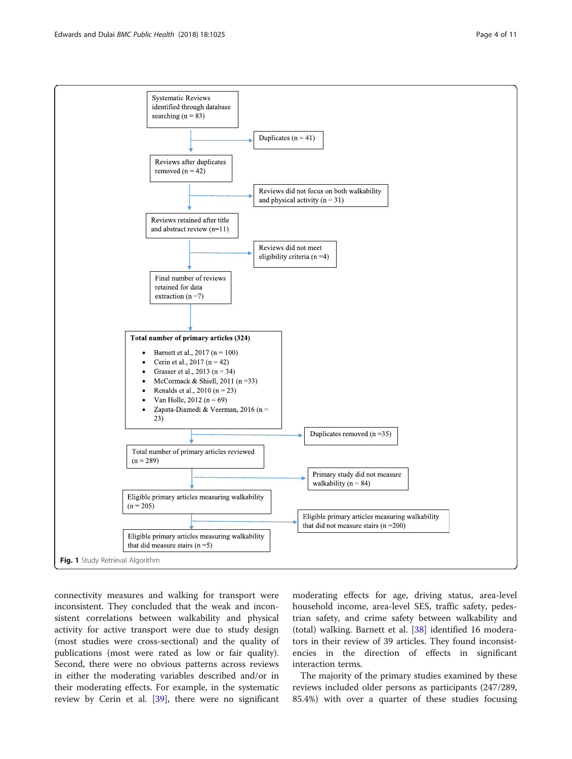<span id="page-3-0"></span>

connectivity measures and walking for transport were inconsistent. They concluded that the weak and inconsistent correlations between walkability and physical activity for active transport were due to study design (most studies were cross-sectional) and the quality of publications (most were rated as low or fair quality). Second, there were no obvious patterns across reviews in either the moderating variables described and/or in their moderating effects. For example, in the systematic review by Cerin et al. [[39](#page-9-0)], there were no significant

moderating effects for age, driving status, area-level household income, area-level SES, traffic safety, pedestrian safety, and crime safety between walkability and (total) walking. Barnett et al. [[38](#page-9-0)] identified 16 moderators in their review of 39 articles. They found inconsistencies in the direction of effects in significant interaction terms.

The majority of the primary studies examined by these reviews included older persons as participants (247/289, 85.4%) with over a quarter of these studies focusing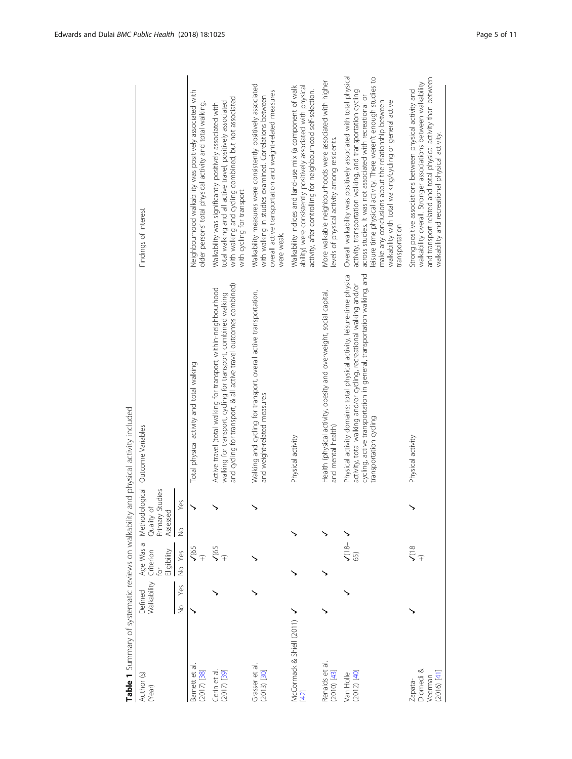<span id="page-4-0"></span>

|                                                |               |                        |                                            |               |                                           | Table 1 Summary of systematic reviews on walkability and physical activity included                                                                                                                                                                  |                                                                                                                                                                                                                                                                                                                                                                                                         |
|------------------------------------------------|---------------|------------------------|--------------------------------------------|---------------|-------------------------------------------|------------------------------------------------------------------------------------------------------------------------------------------------------------------------------------------------------------------------------------------------------|---------------------------------------------------------------------------------------------------------------------------------------------------------------------------------------------------------------------------------------------------------------------------------------------------------------------------------------------------------------------------------------------------------|
| $\odot$<br>Author<br>(Year)                    |               | Walkability<br>Defined | Age Was a<br>Eligibility<br>Criterion<br>đ |               | Primary Studies<br>Quality of<br>Assessed | Methodological Outcome Variables                                                                                                                                                                                                                     | Findings of Interest                                                                                                                                                                                                                                                                                                                                                                                    |
|                                                | $\frac{1}{2}$ | Yes                    | No Yes                                     | $\frac{1}{2}$ | Yes                                       |                                                                                                                                                                                                                                                      |                                                                                                                                                                                                                                                                                                                                                                                                         |
| Barnett et al<br>$(2017)$ [38]                 |               |                        | $\sqrt{65}$                                |               |                                           | Total physical activity and total walking                                                                                                                                                                                                            | Neighbourhood walkability was positively associated with<br>older persons' total physical activity and total walking.                                                                                                                                                                                                                                                                                   |
| $(2017)$ [39]<br>Cerin et al                   |               |                        | $\frac{1}{65}$                             |               |                                           | and cycling for transport, & all active travel outcomes combined)<br>Active travel (total walking for transport, within-neighbourhood<br>walking for transport, cycling for transport, combined walking                                              | with walking and cycling combined, but not associated<br>total walking and all active travel, positively associated<br>Walkability was significantly positively associated with<br>with cycling for transport.                                                                                                                                                                                          |
| Grasser et al<br>$(2013)$ [30]                 |               |                        |                                            |               |                                           | Walking and cycling for transport, overall active transportation,<br>and weight-related measures                                                                                                                                                     | Walkability measures were consistently positively associated<br>overall active transportation and weight-related measures<br>with walking in studies examined. Correlations between<br>were weak.                                                                                                                                                                                                       |
| McCormack & Shiell (2011)<br>[42]              |               |                        |                                            |               |                                           | Physical activity                                                                                                                                                                                                                                    | ability) were consistently positively associated with physical<br>Walkability indices and land-use mix (a component of walk<br>activity, after controlling for neighbourhood self-selection.                                                                                                                                                                                                            |
| Renalds et al<br>$(2010)$ $[43]$               |               |                        |                                            |               |                                           | Health (physical activity, obesity and overweight, social capital,<br>and mental health)                                                                                                                                                             | More walkable neighbourhoods were associated with higher<br>levels of physical activity among residents.                                                                                                                                                                                                                                                                                                |
| $(2012)$ $[40]$<br>Van Holle                   |               |                        | $\frac{1}{65}$                             |               |                                           | Physical activity domains: total physical activity, leisure-time physical<br>cycling, active transportation in general, transportation walking, and<br>activity, total walking and/or cycling, recreational walking and/or<br>transportation cycling | Overall walkability was positively associated with total physical<br>leisure time physical activity. There weren't enough studies to<br>activity, transportation walking, and transportation cycling<br>across studies. It was not associated with recreational or<br>walkability with total walking/cycling or general active<br>make any conclusions about the relationship between<br>transportation |
| Diomedi &<br>(2016) [41]<br>Veerman<br>Zapata- |               |                        | $\sum_{+}^{\infty}$                        |               |                                           | Physical activity                                                                                                                                                                                                                                    | and transport-related and total physical activity than between<br>walkability overall. Stronger associations between walkability<br>Strong positive associations between physical activity and<br>walkability and recreational physical activity.                                                                                                                                                       |
|                                                |               |                        |                                            |               |                                           |                                                                                                                                                                                                                                                      |                                                                                                                                                                                                                                                                                                                                                                                                         |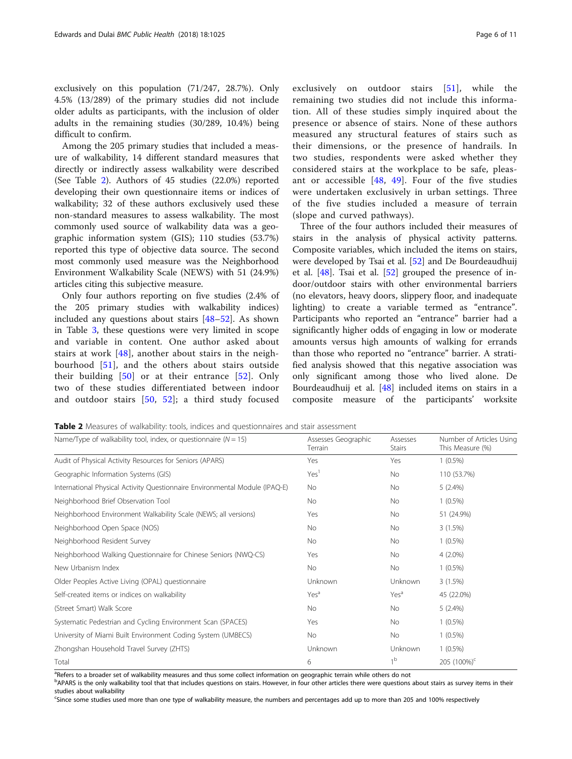exclusively on this population (71/247, 28.7%). Only 4.5% (13/289) of the primary studies did not include older adults as participants, with the inclusion of older adults in the remaining studies (30/289, 10.4%) being difficult to confirm.

Among the 205 primary studies that included a measure of walkability, 14 different standard measures that directly or indirectly assess walkability were described (See Table 2). Authors of 45 studies (22.0%) reported developing their own questionnaire items or indices of walkability; 32 of these authors exclusively used these non-standard measures to assess walkability. The most commonly used source of walkability data was a geographic information system (GIS); 110 studies (53.7%) reported this type of objective data source. The second most commonly used measure was the Neighborhood Environment Walkability Scale (NEWS) with 51 (24.9%) articles citing this subjective measure.

Only four authors reporting on five studies (2.4% of the 205 primary studies with walkability indices) included any questions about stairs [[48](#page-9-0)–[52](#page-9-0)]. As shown in Table [3,](#page-6-0) these questions were very limited in scope and variable in content. One author asked about stairs at work [\[48\]](#page-9-0), another about stairs in the neighbourhood [\[51](#page-9-0)], and the others about stairs outside their building [[50](#page-9-0)] or at their entrance [[52](#page-9-0)]. Only two of these studies differentiated between indoor and outdoor stairs [[50,](#page-9-0) [52\]](#page-9-0); a third study focused

exclusively on outdoor stairs [[51](#page-9-0)], while the remaining two studies did not include this information. All of these studies simply inquired about the presence or absence of stairs. None of these authors measured any structural features of stairs such as their dimensions, or the presence of handrails. In two studies, respondents were asked whether they considered stairs at the workplace to be safe, pleasant or accessible  $[48, 49]$  $[48, 49]$  $[48, 49]$  $[48, 49]$  $[48, 49]$ . Four of the five studies were undertaken exclusively in urban settings. Three of the five studies included a measure of terrain (slope and curved pathways).

Three of the four authors included their measures of stairs in the analysis of physical activity patterns. Composite variables, which included the items on stairs, were developed by Tsai et al. [[52](#page-9-0)] and De Bourdeaudhuij et al. [\[48](#page-9-0)]. Tsai et al. [\[52\]](#page-9-0) grouped the presence of indoor/outdoor stairs with other environmental barriers (no elevators, heavy doors, slippery floor, and inadequate lighting) to create a variable termed as "entrance". Participants who reported an "entrance" barrier had a significantly higher odds of engaging in low or moderate amounts versus high amounts of walking for errands than those who reported no "entrance" barrier. A stratified analysis showed that this negative association was only significant among those who lived alone. De Bourdeaudhuij et al. [[48\]](#page-9-0) included items on stairs in a composite measure of the participants' worksite

**Table 2** Measures of walkability: tools, indices and questionnaires and stair assessment

| Name/Type of walkability tool, index, or questionnaire ( $N = 15$ )         | Assesses Geographic<br>Terrain | Assesses<br><b>Stairs</b> | Number of Articles Using<br>This Measure (%) |
|-----------------------------------------------------------------------------|--------------------------------|---------------------------|----------------------------------------------|
| Audit of Physical Activity Resources for Seniors (APARS)                    | Yes                            | Yes                       | $1(0.5\%)$                                   |
| Geographic Information Systems (GIS)                                        | Yes <sup>1</sup>               | <b>No</b>                 | 110 (53.7%)                                  |
| International Physical Activity Questionnaire Environmental Module (IPAQ-E) | No                             | No                        | 5(2.4%)                                      |
| Neighborhood Brief Observation Tool                                         | No                             | No                        | $1(0.5\%)$                                   |
| Neighborhood Environment Walkability Scale (NEWS; all versions)             | Yes                            | No                        | 51 (24.9%)                                   |
| Neighborhood Open Space (NOS)                                               | No                             | No                        | 3(1.5%)                                      |
| Neighborhood Resident Survey                                                | No                             | <b>No</b>                 | $1(0.5\%)$                                   |
| Neighborhood Walking Questionnaire for Chinese Seniors (NWQ-CS)             | Yes                            | No                        | $4(2.0\%)$                                   |
| New Urbanism Index                                                          | No                             | <b>No</b>                 | $1(0.5\%)$                                   |
| Older Peoples Active Living (OPAL) questionnaire                            | <b>Unknown</b>                 | Unknown                   | 3(1.5%)                                      |
| Self-created items or indices on walkability                                | Yes <sup>a</sup>               | Yes <sup>a</sup>          | 45 (22.0%)                                   |
| (Street Smart) Walk Score                                                   | No                             | No                        | 5(2.4%)                                      |
| Systematic Pedestrian and Cycling Environment Scan (SPACES)                 | Yes                            | No                        | $1(0.5\%)$                                   |
| University of Miami Built Environment Coding System (UMBECS)                | <b>No</b>                      | <b>No</b>                 | $1(0.5\%)$                                   |
| Zhongshan Household Travel Survey (ZHTS)                                    | <b>Unknown</b>                 | Unknown                   | $1(0.5\%)$                                   |
| Total                                                                       | 6                              | 1 <sup>b</sup>            | 205 (100%) <sup>c</sup>                      |

<sup>a</sup>Refers to a broader set of walkability measures and thus some collect information on geographic terrain while others do not

bAPARS is the only walkability tool that that includes questions on stairs. However, in four other articles there were questions about stairs as survey items in their studies about walkability

c Since some studies used more than one type of walkability measure, the numbers and percentages add up to more than 205 and 100% respectively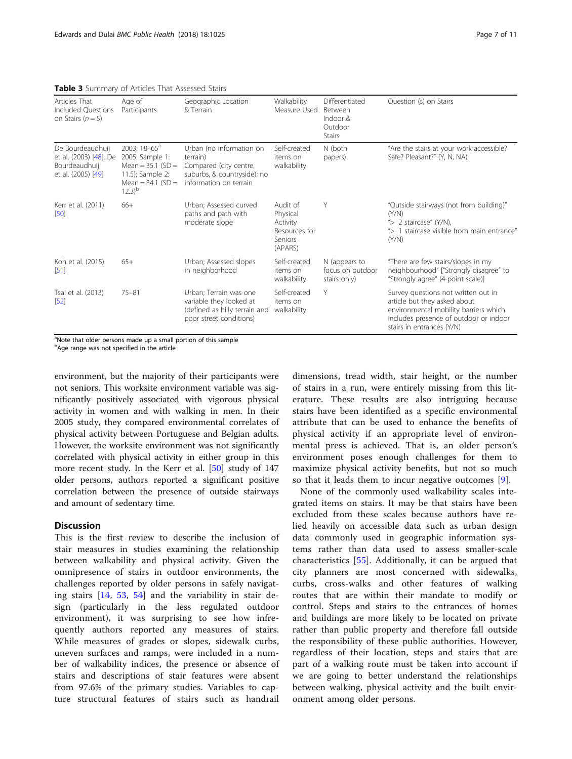|                                                                                   | $\bullet$ . $\bullet$ summary or receive matrices to a                                                                            |                                                                                                                         |                                                                         |                                                                          |                                                                                                                                                                                     |
|-----------------------------------------------------------------------------------|-----------------------------------------------------------------------------------------------------------------------------------|-------------------------------------------------------------------------------------------------------------------------|-------------------------------------------------------------------------|--------------------------------------------------------------------------|-------------------------------------------------------------------------------------------------------------------------------------------------------------------------------------|
| Articles That<br>Included Questions<br>on Stairs ( $n = 5$ )                      | Age of<br>Participants                                                                                                            | Geographic Location<br>& Terrain                                                                                        | Walkability<br>Measure Used                                             | Differentiated<br><b>Between</b><br>Indoor &<br>Outdoor<br><b>Stairs</b> | Question (s) on Stairs                                                                                                                                                              |
| De Bourdeaudhuij<br>et al. (2003) [48], De<br>Bourdeaudhuij<br>et al. (2005) [49] | 2003: $18-65^{\circ}$<br>2005: Sample 1:<br>Mean = $35.1$ (SD =<br>11.5); Sample 2:<br>Mean = $34.1$ (SD =<br>$12.3$ <sup>b</sup> | Urban (no information on<br>terrain)<br>Compared (city centre,<br>suburbs, & countryside); no<br>information on terrain | Self-created<br>items on<br>walkability                                 | N (both<br>papers)                                                       | "Are the stairs at your work accessible?<br>Safe? Pleasant?" (Y, N, NA)                                                                                                             |
| Kerr et al. (2011)<br>$[50]$                                                      | $66+$                                                                                                                             | Urban; Assessed curved<br>paths and path with<br>moderate slope                                                         | Audit of<br>Physical<br>Activity<br>Resources for<br>Seniors<br>(APARS) | Y                                                                        | "Outside stairways (not from building)"<br>(Y/N)<br>"> 2 staircase" $(Y/N)$ ,<br>"> 1 staircase visible from main entrance"<br>(Y/N)                                                |
| Koh et al. (2015)<br>$[51]$                                                       | $65+$                                                                                                                             | Urban; Assessed slopes<br>in neighborhood                                                                               | Self-created<br>items on<br>walkability                                 | N (appears to<br>focus on outdoor<br>stairs only)                        | "There are few stairs/slopes in my<br>neighbourhood" ["Strongly disagree" to<br>"Strongly agree" (4-point scale)]                                                                   |
| Tsai et al. (2013)<br>$[52]$                                                      | $75 - 81$                                                                                                                         | Urban; Terrain was one<br>variable they looked at<br>(defined as hilly terrain and<br>poor street conditions)           | Self-created<br>items on<br>walkability                                 | Y                                                                        | Survey questions not written out in<br>article but they asked about<br>environmental mobility barriers which<br>includes presence of outdoor or indoor<br>stairs in entrances (Y/N) |

<span id="page-6-0"></span>Table 3 Summary of Articles That Assessed Stairs

<sup>a</sup>Note that older persons made up a small portion of this sample

<sup>b</sup>Age range was not specified in the article

environment, but the majority of their participants were not seniors. This worksite environment variable was significantly positively associated with vigorous physical activity in women and with walking in men. In their 2005 study, they compared environmental correlates of physical activity between Portuguese and Belgian adults. However, the worksite environment was not significantly correlated with physical activity in either group in this more recent study. In the Kerr et al. [[50](#page-9-0)] study of 147 older persons, authors reported a significant positive correlation between the presence of outside stairways and amount of sedentary time.

# **Discussion**

This is the first review to describe the inclusion of stair measures in studies examining the relationship between walkability and physical activity. Given the omnipresence of stairs in outdoor environments, the challenges reported by older persons in safely navigating stairs [[14,](#page-9-0) [53,](#page-9-0) [54\]](#page-9-0) and the variability in stair design (particularly in the less regulated outdoor environment), it was surprising to see how infrequently authors reported any measures of stairs. While measures of grades or slopes, sidewalk curbs, uneven surfaces and ramps, were included in a number of walkability indices, the presence or absence of stairs and descriptions of stair features were absent from 97.6% of the primary studies. Variables to capture structural features of stairs such as handrail

dimensions, tread width, stair height, or the number of stairs in a run, were entirely missing from this literature. These results are also intriguing because stairs have been identified as a specific environmental attribute that can be used to enhance the benefits of physical activity if an appropriate level of environmental press is achieved. That is, an older person's environment poses enough challenges for them to maximize physical activity benefits, but not so much so that it leads them to incur negative outcomes [[9\]](#page-8-0).

None of the commonly used walkability scales integrated items on stairs. It may be that stairs have been excluded from these scales because authors have relied heavily on accessible data such as urban design data commonly used in geographic information systems rather than data used to assess smaller-scale characteristics [\[55](#page-9-0)]. Additionally, it can be argued that city planners are most concerned with sidewalks, curbs, cross-walks and other features of walking routes that are within their mandate to modify or control. Steps and stairs to the entrances of homes and buildings are more likely to be located on private rather than public property and therefore fall outside the responsibility of these public authorities. However, regardless of their location, steps and stairs that are part of a walking route must be taken into account if we are going to better understand the relationships between walking, physical activity and the built environment among older persons.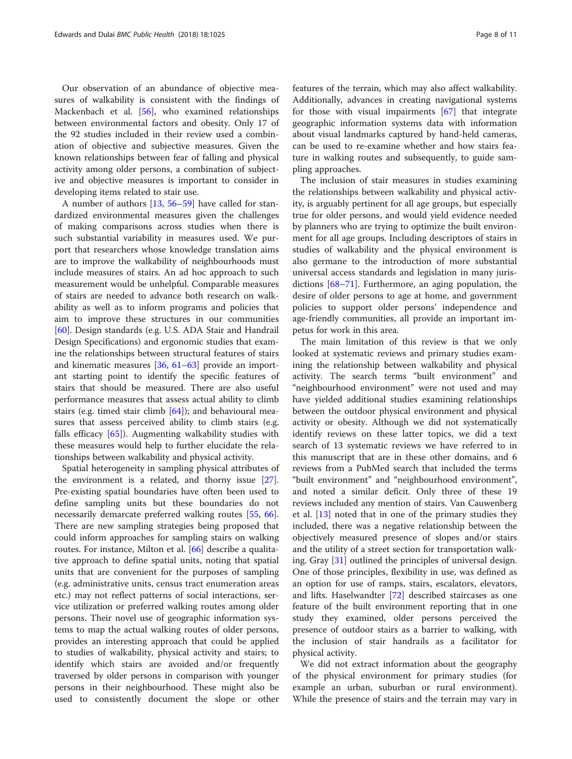Our observation of an abundance of objective measures of walkability is consistent with the findings of Mackenbach et al. [[56](#page-9-0)], who examined relationships between environmental factors and obesity. Only 17 of the 92 studies included in their review used a combination of objective and subjective measures. Given the known relationships between fear of falling and physical activity among older persons, a combination of subjective and objective measures is important to consider in developing items related to stair use.

A number of authors [\[13,](#page-8-0) [56](#page-9-0)–[59\]](#page-10-0) have called for standardized environmental measures given the challenges of making comparisons across studies when there is such substantial variability in measures used. We purport that researchers whose knowledge translation aims are to improve the walkability of neighbourhoods must include measures of stairs. An ad hoc approach to such measurement would be unhelpful. Comparable measures of stairs are needed to advance both research on walkability as well as to inform programs and policies that aim to improve these structures in our communities [[60\]](#page-10-0). Design standards (e.g. U.S. ADA Stair and Handrail Design Specifications) and ergonomic studies that examine the relationships between structural features of stairs and kinematic measures [[36](#page-9-0), [61](#page-10-0)–[63\]](#page-10-0) provide an important starting point to identify the specific features of stairs that should be measured. There are also useful performance measures that assess actual ability to climb stairs (e.g. timed stair climb [\[64\]](#page-10-0)); and behavioural measures that assess perceived ability to climb stairs (e.g. falls efficacy [[65\]](#page-10-0)). Augmenting walkability studies with these measures would help to further elucidate the relationships between walkability and physical activity.

Spatial heterogeneity in sampling physical attributes of the environment is a related, and thorny issue [\[27](#page-9-0)]. Pre-existing spatial boundaries have often been used to define sampling units but these boundaries do not necessarily demarcate preferred walking routes [[55](#page-9-0), [66](#page-10-0)]. There are new sampling strategies being proposed that could inform approaches for sampling stairs on walking routes. For instance, Milton et al. [[66](#page-10-0)] describe a qualitative approach to define spatial units, noting that spatial units that are convenient for the purposes of sampling (e.g. administrative units, census tract enumeration areas etc.) may not reflect patterns of social interactions, service utilization or preferred walking routes among older persons. Their novel use of geographic information systems to map the actual walking routes of older persons, provides an interesting approach that could be applied to studies of walkability, physical activity and stairs; to identify which stairs are avoided and/or frequently traversed by older persons in comparison with younger persons in their neighbourhood. These might also be used to consistently document the slope or other features of the terrain, which may also affect walkability. Additionally, advances in creating navigational systems for those with visual impairments [\[67](#page-10-0)] that integrate geographic information systems data with information about visual landmarks captured by hand-held cameras, can be used to re-examine whether and how stairs feature in walking routes and subsequently, to guide sampling approaches.

The inclusion of stair measures in studies examining the relationships between walkability and physical activity, is arguably pertinent for all age groups, but especially true for older persons, and would yield evidence needed by planners who are trying to optimize the built environment for all age groups. Including descriptors of stairs in studies of walkability and the physical environment is also germane to the introduction of more substantial universal access standards and legislation in many jurisdictions [[68](#page-10-0)–[71](#page-10-0)]. Furthermore, an aging population, the desire of older persons to age at home, and government policies to support older persons' independence and age-friendly communities, all provide an important impetus for work in this area.

The main limitation of this review is that we only looked at systematic reviews and primary studies examining the relationship between walkability and physical activity. The search terms "built environment" and "neighbourhood environment" were not used and may have yielded additional studies examining relationships between the outdoor physical environment and physical activity or obesity. Although we did not systematically identify reviews on these latter topics, we did a text search of 13 systematic reviews we have referred to in this manuscript that are in these other domains, and 6 reviews from a PubMed search that included the terms "built environment" and "neighbourhood environment", and noted a similar deficit. Only three of these 19 reviews included any mention of stairs. Van Cauwenberg et al. [[13\]](#page-8-0) noted that in one of the primary studies they included, there was a negative relationship between the objectively measured presence of slopes and/or stairs and the utility of a street section for transportation walking. Gray [\[31](#page-9-0)] outlined the principles of universal design. One of those principles, flexibility in use, was defined as an option for use of ramps, stairs, escalators, elevators, and lifts. Haselwandter [[72](#page-10-0)] described staircases as one feature of the built environment reporting that in one study they examined, older persons perceived the presence of outdoor stairs as a barrier to walking, with the inclusion of stair handrails as a facilitator for physical activity.

We did not extract information about the geography of the physical environment for primary studies (for example an urban, suburban or rural environment). While the presence of stairs and the terrain may vary in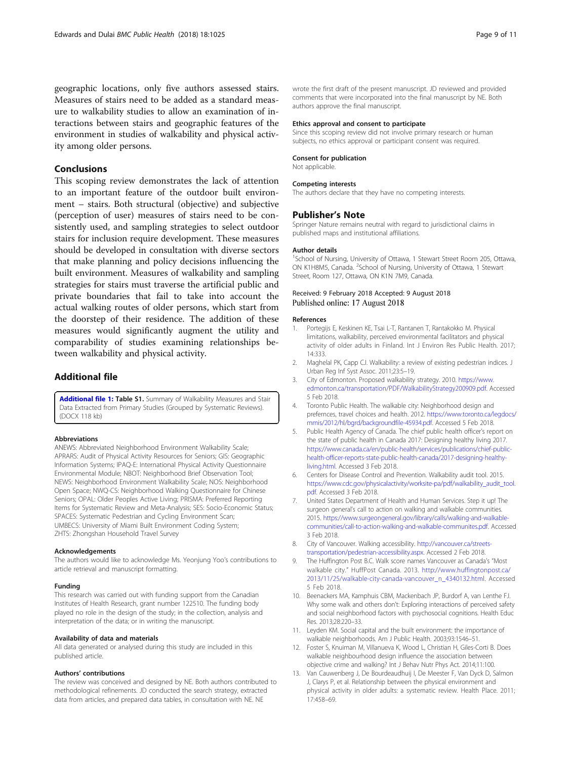<span id="page-8-0"></span>geographic locations, only five authors assessed stairs. Measures of stairs need to be added as a standard measure to walkability studies to allow an examination of interactions between stairs and geographic features of the environment in studies of walkability and physical activity among older persons.

# Conclusions

This scoping review demonstrates the lack of attention to an important feature of the outdoor built environment – stairs. Both structural (objective) and subjective (perception of user) measures of stairs need to be consistently used, and sampling strategies to select outdoor stairs for inclusion require development. These measures should be developed in consultation with diverse sectors that make planning and policy decisions influencing the built environment. Measures of walkability and sampling strategies for stairs must traverse the artificial public and private boundaries that fail to take into account the actual walking routes of older persons, which start from the doorstep of their residence. The addition of these measures would significantly augment the utility and comparability of studies examining relationships between walkability and physical activity.

# Additional file

[Additional file 1:](https://doi.org/10.1186/s12889-018-5945-0) Table S1. Summary of Walkability Measures and Stair Data Extracted from Primary Studies (Grouped by Systematic Reviews). (DOCX 118 kb)

#### **Abbreviations**

ANEWS: Abbreviated Neighborhood Environment Walkability Scale; APRARS: Audit of Physical Activity Resources for Seniors; GIS: Geographic Information Systems; IPAQ-E: International Physical Activity Questionnaire Environmental Module; NBOT: Neighborhood Brief Observation Tool; NEWS: Neighborhood Environment Walkability Scale; NOS: Neighborhood Open Space; NWQ-CS: Neighborhood Walking Questionnaire for Chinese Seniors; OPAL: Older Peoples Active Living; PRISMA: Preferred Reporting Items for Systematic Review and Meta-Analysis; SES: Socio-Economic Status; SPACES: Systematic Pedestrian and Cycling Environment Scan; UMBECS: University of Miami Built Environment Coding System; ZHTS: Zhongshan Household Travel Survey

#### Acknowledgements

The authors would like to acknowledge Ms. Yeonjung Yoo's contributions to article retrieval and manuscript formatting.

#### Funding

This research was carried out with funding support from the Canadian Institutes of Health Research, grant number 122510. The funding body played no role in the design of the study; in the collection, analysis and interpretation of the data; or in writing the manuscript.

#### Availability of data and materials

All data generated or analysed during this study are included in this published article.

#### Authors' contributions

The review was conceived and designed by NE. Both authors contributed to methodological refinements. JD conducted the search strategy, extracted data from articles, and prepared data tables, in consultation with NE. NE

wrote the first draft of the present manuscript. JD reviewed and provided comments that were incorporated into the final manuscript by NE. Both authors approve the final manuscript.

#### Ethics approval and consent to participate

Since this scoping review did not involve primary research or human subjects, no ethics approval or participant consent was required.

#### Consent for publication Not applicable.

### Competing interests

The authors declare that they have no competing interests.

## Publisher's Note

Springer Nature remains neutral with regard to jurisdictional claims in published maps and institutional affiliations.

#### Author details

<sup>1</sup>School of Nursing, University of Ottawa, 1 Stewart Street Room 205, Ottawa, ON K1H8M5, Canada. <sup>2</sup>School of Nursing, University of Ottawa, 1 Stewart Street, Room 127, Ottawa, ON K1N 7M9, Canada.

# Received: 9 February 2018 Accepted: 9 August 2018 Published online: 17 August 2018

#### References

- 1. Portegijs E, Keskinen KE, Tsai L-T, Rantanen T, Rantakokko M. Physical limitations, walkability, perceived environmental facilitators and physical activity of older adults in Finland. Int J Environ Res Public Health. 2017; 14:333.
- 2. Maghelal PK, Capp CJ. Walkability: a review of existing pedestrian indices. J Urban Reg Inf Syst Assoc. 2011;23:5–19.
- 3. City of Edmonton. Proposed walkability strategy. 2010. [https://www.](https://www.edmonton.ca/transportation/PDF/WalkabilityStrategy200909.pdf) [edmonton.ca/transportation/PDF/WalkabilityStrategy200909.pdf](https://www.edmonton.ca/transportation/PDF/WalkabilityStrategy200909.pdf). Accessed 5 Feb 2018.
- 4. Toronto Public Health. The walkable city: Neighborhood design and prefernces, travel choices and health. 2012. [https://www.toronto.ca/legdocs/](https://www.toronto.ca/legdocs/mmis/2012/hl/bgrd/backgroundfile-45934.pdf) [mmis/2012/hl/bgrd/backgroundfile-45934.pdf](https://www.toronto.ca/legdocs/mmis/2012/hl/bgrd/backgroundfile-45934.pdf). Accessed 5 Feb 2018.
- 5. Public Health Agency of Canada. The chief public health officer's report on the state of public health in Canada 2017: Designing healthy living 2017. [https://www.canada.ca/en/public-health/services/publications/chief-public](https://www.canada.ca/en/public-health/services/publications/chief-public-health-officer-reports-state-public-health-canada/2017-designing-healthy-living.html)[health-officer-reports-state-public-health-canada/2017-designing-healthy](https://www.canada.ca/en/public-health/services/publications/chief-public-health-officer-reports-state-public-health-canada/2017-designing-healthy-living.html)[living.html](https://www.canada.ca/en/public-health/services/publications/chief-public-health-officer-reports-state-public-health-canada/2017-designing-healthy-living.html). Accessed 3 Feb 2018.
- 6. Centers for Disease Control and Prevention. Walkability audit tool. 2015. [https://www.cdc.gov/physicalactivity/worksite-pa/pdf/walkability\\_audit\\_tool.](https://www.cdc.gov/physicalactivity/worksite-pa/pdf/walkability_audit_tool.pdf) [pdf](https://www.cdc.gov/physicalactivity/worksite-pa/pdf/walkability_audit_tool.pdf). Accessed 3 Feb 2018.
- 7. United States Department of Health and Human Services. Step it up! The surgeon general's call to action on walking and walkable communities. 2015. [https://www.surgeongeneral.gov/library/calls/walking-and-walkable](https://www.surgeongeneral.gov/library/calls/walking-and-walkable-communities/call-to-action-walking-and-walkable-communites.pdf)[communities/call-to-action-walking-and-walkable-communites.pdf](https://www.surgeongeneral.gov/library/calls/walking-and-walkable-communities/call-to-action-walking-and-walkable-communites.pdf). Accessed 3 Feb 2018.
- 8. City of Vancouver. Walking accessibility. [http://vancouver.ca/streets](http://vancouver.ca/streets-transportation/pedestrian-accessibility.aspx)[transportation/pedestrian-accessibility.aspx](http://vancouver.ca/streets-transportation/pedestrian-accessibility.aspx). Accessed 2 Feb 2018.
- 9. The Huffington Post B.C. Walk score names Vancouver as Canada's "Most walkable city." HuffPost Canada. 2013. [http://www.huffingtonpost.ca/](http://www.huffingtonpost.ca/2013/11/25/walkable-city-canada-vancouver_n_4340132.html) [2013/11/25/walkable-city-canada-vancouver\\_n\\_4340132.html.](http://www.huffingtonpost.ca/2013/11/25/walkable-city-canada-vancouver_n_4340132.html) Accessed 5 Feb 2018.
- 10. Beenackers MA, Kamphuis CBM, Mackenbach JP, Burdorf A, van Lenthe FJ. Why some walk and others don't: Exploring interactions of perceived safety and social neighborhood factors with psychosocial cognitions. Health Educ Res. 2013;28:220–33.
- 11. Leyden KM. Social capital and the built environment: the importance of walkable neighborhoods. Am J Public Health. 2003;93:1546–51.
- 12. Foster S, Knuiman M, Villanueva K, Wood L, Christian H, Giles-Corti B. Does walkable neighbourhood design influence the association between objective crime and walking? Int J Behav Nutr Phys Act. 2014;11:100.
- 13. Van Cauwenberg J, De Bourdeaudhuij I, De Meester F, Van Dyck D, Salmon J, Clarys P, et al. Relationship between the physical environment and physical activity in older adults: a systematic review. Health Place. 2011; 17:458–69.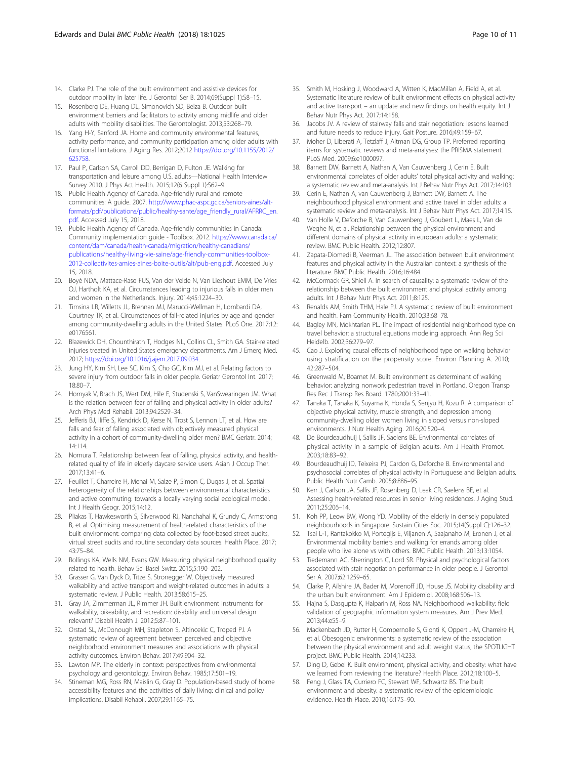- <span id="page-9-0"></span>14. Clarke PJ. The role of the built environment and assistive devices for outdoor mobility in later life. J Gerontol Ser B. 2014;69(Suppl 1):S8–15.
- 15. Rosenberg DE, Huang DL, Simonovich SD, Belza B. Outdoor built environment barriers and facilitators to activity among midlife and older adults with mobility disabilities. The Gerontologist. 2013;53:268–79.
- 16. Yang H-Y, Sanford JA. Home and community environmental features, activity performance, and community participation among older adults with functional limitations. J Aging Res. 2012;2012 [https://doi.org/10.1155/2012/](https://doi.org/10.1155/2012/625758) [625758](https://doi.org/10.1155/2012/625758).
- 17. Paul P, Carlson SA, Carroll DD, Berrigan D, Fulton JE. Walking for transportation and leisure among U.S. adults—National Health Interview Survey 2010. J Phys Act Health. 2015;12(6 Suppl 1):S62–9.
- 18. Public Health Agency of Canada. Age-friendly rural and remote communities: A guide. 2007. [http://www.phac-aspc.gc.ca/seniors-aines/alt](http://www.phac-aspc.gc.ca/seniors-aines/alt-formats/pdf/publications/public/healthy-sante/age_friendly_rural/AFRRC_en.pdf)[formats/pdf/publications/public/healthy-sante/age\\_friendly\\_rural/AFRRC\\_en.](http://www.phac-aspc.gc.ca/seniors-aines/alt-formats/pdf/publications/public/healthy-sante/age_friendly_rural/AFRRC_en.pdf) [pdf](http://www.phac-aspc.gc.ca/seniors-aines/alt-formats/pdf/publications/public/healthy-sante/age_friendly_rural/AFRRC_en.pdf). Accessed July 15, 2018.
- 19. Public Health Agency of Canada. Age-friendly communities in Canada: Community implementation guide - Toolbox. 2012. [https://www.canada.ca/](https://www.canada.ca/content/dam/canada/health-canada/migration/healthy-canadians/publications/healthy-living-vie-saine/age-friendly-communities-toolbox-2012-collectivites-amies-aines-boite-outils/alt/pub-eng.pdf) [content/dam/canada/health-canada/migration/healthy-canadians/](https://www.canada.ca/content/dam/canada/health-canada/migration/healthy-canadians/publications/healthy-living-vie-saine/age-friendly-communities-toolbox-2012-collectivites-amies-aines-boite-outils/alt/pub-eng.pdf) [publications/healthy-living-vie-saine/age-friendly-communities-toolbox-](https://www.canada.ca/content/dam/canada/health-canada/migration/healthy-canadians/publications/healthy-living-vie-saine/age-friendly-communities-toolbox-2012-collectivites-amies-aines-boite-outils/alt/pub-eng.pdf)[2012-collectivites-amies-aines-boite-outils/alt/pub-eng.pdf.](https://www.canada.ca/content/dam/canada/health-canada/migration/healthy-canadians/publications/healthy-living-vie-saine/age-friendly-communities-toolbox-2012-collectivites-amies-aines-boite-outils/alt/pub-eng.pdf) Accessed July 15, 2018.
- 20. Boyé NDA, Mattace-Raso FUS, Van der Velde N, Van Lieshout EMM, De Vries OJ, Hartholt KA, et al. Circumstances leading to injurious falls in older men and women in the Netherlands. Injury. 2014;45:1224–30.
- 21. Timsina LR, Willetts JL, Brennan MJ, Marucci-Wellman H, Lombardi DA, Courtney TK, et al. Circumstances of fall-related injuries by age and gender among community-dwelling adults in the United States. PLoS One. 2017;12: e0176561.
- 22. Blazewick DH, Chounthirath T, Hodges NL, Collins CL, Smith GA. Stair-related injuries treated in United States emergency departments. Am J Emerg Med. 2017; [https://doi.org/10.1016/j.ajem.2017.09.034.](https://doi.org/10.1016/j.ajem.2017.09.034)
- 23. Jung HY, Kim SH, Lee SC, Kim S, Cho GC, Kim MJ, et al. Relating factors to severe injury from outdoor falls in older people. Geriatr Gerontol Int. 2017; 18:80–7.
- 24. Hornyak V, Brach JS, Wert DM, Hile E, Studenski S, VanSwearingen JM. What is the relation between fear of falling and physical activity in older adults? Arch Phys Med Rehabil. 2013;94:2529–34.
- 25. Jefferis BJ, Iliffe S, Kendrick D, Kerse N, Trost S, Lennon LT, et al. How are falls and fear of falling associated with objectively measured physical activity in a cohort of community-dwelling older men? BMC Geriatr. 2014; 14:114.
- 26. Nomura T. Relationship between fear of falling, physical activity, and healthrelated quality of life in elderly daycare service users. Asian J Occup Ther. 2017;13:41–6.
- 27. Feuillet T, Charreire H, Menai M, Salze P, Simon C, Dugas J, et al. Spatial heterogeneity of the relationships between environmental characteristics and active commuting: towards a locally varying social ecological model. Int J Health Geogr. 2015;14:12.
- 28. Pliakas T, Hawkesworth S, Silverwood RJ, Nanchahal K, Grundy C, Armstrong B, et al. Optimising measurement of health-related characteristics of the built environment: comparing data collected by foot-based street audits, virtual street audits and routine secondary data sources. Health Place. 2017; 43:75–84.
- 29. Rollings KA, Wells NM, Evans GW. Measuring physical neighborhood quality related to health. Behav Sci Basel Switz. 2015;5:190–202.
- 30. Grasser G, Van Dyck D, Titze S, Stronegger W. Objectively measured walkability and active transport and weight-related outcomes in adults: a systematic review. J Public Health. 2013;58:615–25.
- 31. Gray JA, Zimmerman JL, Rimmer JH. Built environment instruments for walkability, bikeability, and recreation: disability and universal design relevant? Disabil Health J. 2012;5:87–101.
- 32. Orstad SL, McDonough MH, Stapleton S, Altincekic C, Troped PJ. A systematic review of agreement between perceived and objective neighborhood environment measures and associations with physical activity outcomes. Environ Behav. 2017;49:904–32.
- 33. Lawton MP. The elderly in context: perspectives from environmental psychology and gerontology. Environ Behav. 1985;17:501–19.
- 34. Stineman MG, Ross RN, Maislin G, Gray D. Population-based study of home accessibility features and the activities of daily living: clinical and policy implications. Disabil Rehabil. 2007;29:1165–75.
- 35. Smith M, Hosking J, Woodward A, Witten K, MacMillan A, Field A, et al. Systematic literature review of built environment effects on physical activity and active transport – an update and new findings on health equity. Int J Behav Nutr Phys Act. 2017;14:158.
- 36. Jacobs JV. A review of stairway falls and stair negotiation: lessons learned and future needs to reduce injury. Gait Posture. 2016;49:159–67.
- 37. Moher D, Liberati A, Tetzlaff J, Altman DG, Group TP. Preferred reporting items for systematic reviews and meta-analyses: the PRISMA statement. PLoS Med. 2009;6:e1000097.
- 38. Barnett DW, Barnett A, Nathan A, Van Cauwenberg J, Cerin E. Built environmental correlates of older adults' total physical activity and walking: a systematic review and meta-analysis. Int J Behav Nutr Phys Act. 2017;14:103.
- 39. Cerin E, Nathan A, van Cauwenberg J, Barnett DW, Barnett A. The neighbourhood physical environment and active travel in older adults: a systematic review and meta-analysis. Int J Behav Nutr Phys Act. 2017;14:15.
- 40. Van Holle V, Deforche B, Van Cauwenberg J, Goubert L, Maes L, Van de Weghe N, et al. Relationship between the physical environment and different domains of physical activity in european adults: a systematic review. BMC Public Health. 2012;12:807.
- 41. Zapata-Diomedi B, Veerman JL. The association between built environment features and physical activity in the Australian context: a synthesis of the literature. BMC Public Health. 2016;16:484.
- 42. McCormack GR, Shiell A. In search of causality: a systematic review of the relationship between the built environment and physical activity among adults. Int J Behav Nutr Phys Act. 2011;8:125.
- 43. Renalds AM, Smith THM, Hale PJ. A systematic review of built environment and health. Fam Community Health. 2010;33:68–78.
- 44. Bagley MN, Mokhtarian PL. The impact of residential neighborhood type on travel behavior: a structural equations modeling approach. Ann Reg Sci Heidelb. 2002;36:279–97.
- 45. Cao J. Exploring causal effects of neighborhood type on walking behavior using stratification on the propensity score. Environ Planning A. 2010; 42:287–504.
- 46. Greenwald M, Boarnet M. Built environment as determinant of walking behavior: analyzing nonwork pedestrian travel in Portland. Oregon Transp Res Rec J Transp Res Board. 1780;2001:33–41.
- 47. Tanaka T, Tanaka K, Suyama K, Honda S, Senjyu H, Kozu R. A comparison of objective physical activity, muscle strength, and depression among community-dwelling older women living in sloped versus non-sloped environments. J Nutr Health Aging. 2016;20:520–4.
- 48. De Bourdeaudhuij I, Sallis JF, Saelens BE. Environmental correlates of physical activity in a sample of Belgian adults. Am J Health Promot. 2003;18:83–92.
- 49. Bourdeaudhuij ID, Teixeira PJ, Cardon G, Deforche B. Environmental and psychosocial correlates of physical activity in Portuguese and Belgian adults. Public Health Nutr Camb. 2005;8:886–95.
- 50. Kerr J, Carlson JA, Sallis JF, Rosenberg D, Leak CR, Saelens BE, et al. Assessing health-related resources in senior living residences. J Aging Stud. 2011;25:206–14.
- 51. Koh PP, Leow BW, Wong YD. Mobility of the elderly in densely populated neighbourhoods in Singapore. Sustain Cities Soc. 2015;14(Suppl C):126–32.
- 52. Tsai L-T, Rantakokko M, Portegijs E, Viljanen A, Saajanaho M, Eronen J, et al. Environmental mobility barriers and walking for errands among older people who live alone vs with others. BMC Public Health. 2013;13:1054.
- 53. Tiedemann AC, Sherrington C, Lord SR. Physical and psychological factors associated with stair negotiation performance in older people. J Gerontol Ser A. 2007;62:1259–65.
- 54. Clarke P, Ailshire JA, Bader M, Morenoff JD, House JS. Mobility disability and the urban built environment. Am J Epidemiol. 2008;168:506–13.
- 55. Hajna S, Dasgupta K, Halparin M, Ross NA. Neighborhood walkability: field validation of geographic information system measures. Am J Prev Med. 2013;44:e55–9.
- 56. Mackenbach JD, Rutter H, Compernolle S, Glonti K, Oppert J-M, Charreire H, et al. Obesogenic environments: a systematic review of the association between the physical environment and adult weight status, the SPOTLIGHT project. BMC Public Health. 2014;14:233.
- 57. Ding D, Gebel K. Built environment, physical activity, and obesity: what have we learned from reviewing the literature? Health Place. 2012;18:100–5.
- 58. Feng J, Glass TA, Curriero FC, Stewart WF, Schwartz BS. The built environment and obesity: a systematic review of the epidemiologic evidence. Health Place. 2010;16:175–90.